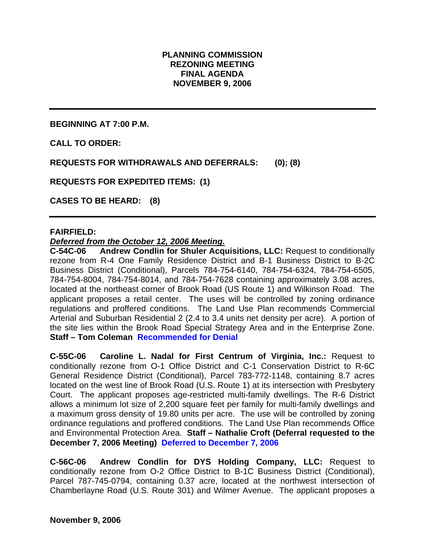## **PLANNING COMMISSION REZONING MEETING FINAL AGENDA NOVEMBER 9, 2006**

**BEGINNING AT 7:00 P.M.** 

**CALL TO ORDER:** 

**REQUESTS FOR WITHDRAWALS AND DEFERRALS: (0); (8)** 

**REQUESTS FOR EXPEDITED ITEMS: (1)** 

**CASES TO BE HEARD: (8)** 

### **FAIRFIELD:**

#### *Deferred from the October 12, 2006 Meeting.*

**C-54C-06 Andrew Condlin for Shuler Acquisitions, LLC:** Request to conditionally rezone from R-4 One Family Residence District and B-1 Business District to B-2C Business District (Conditional), Parcels 784-754-6140, 784-754-6324, 784-754-6505, 784-754-8004, 784-754-8014, and 784-754-7628 containing approximately 3.08 acres, located at the northeast corner of Brook Road (US Route 1) and Wilkinson Road. The applicant proposes a retail center. The uses will be controlled by zoning ordinance regulations and proffered conditions. The Land Use Plan recommends Commercial Arterial and Suburban Residential 2 (2.4 to 3.4 units net density per acre). A portion of the site lies within the Brook Road Special Strategy Area and in the Enterprise Zone. **Staff – Tom Coleman Recommended for Denial** 

**C-55C-06 Caroline L. Nadal for First Centrum of Virginia, Inc.:** Request to conditionally rezone from O-1 Office District and C-1 Conservation District to R-6C General Residence District (Conditional), Parcel 783-772-1148, containing 8.7 acres located on the west line of Brook Road (U.S. Route 1) at its intersection with Presbytery Court. The applicant proposes age-restricted multi-family dwellings. The R-6 District allows a minimum lot size of 2,200 square feet per family for multi-family dwellings and a maximum gross density of 19.80 units per acre. The use will be controlled by zoning ordinance regulations and proffered conditions. The Land Use Plan recommends Office and Environmental Protection Area. **Staff – Nathalie Croft (Deferral requested to the December 7, 2006 Meeting) Deferred to December 7, 2006** 

**C-56C-06 Andrew Condlin for DYS Holding Company, LLC:** Request to conditionally rezone from O-2 Office District to B-1C Business District (Conditional), Parcel 787-745-0794, containing 0.37 acre, located at the northwest intersection of Chamberlayne Road (U.S. Route 301) and Wilmer Avenue. The applicant proposes a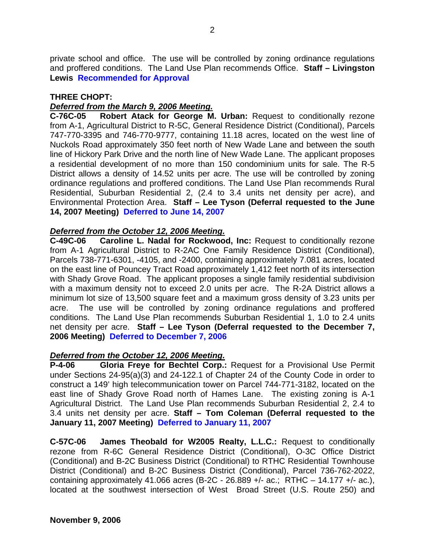private school and office. The use will be controlled by zoning ordinance regulations and proffered conditions. The Land Use Plan recommends Office. **Staff – Livingston Lewis Recommended for Approval** 

### **THREE CHOPT:**

# *Deferred from the March 9, 2006 Meeting.*

**C-76C-05 Robert Atack for George M. Urban:** Request to conditionally rezone from A-1, Agricultural District to R-5C, General Residence District (Conditional), Parcels 747-770-3395 and 746-770-9777, containing 11.18 acres, located on the west line of Nuckols Road approximately 350 feet north of New Wade Lane and between the south line of Hickory Park Drive and the north line of New Wade Lane. The applicant proposes a residential development of no more than 150 condominium units for sale. The R-5 District allows a density of 14.52 units per acre. The use will be controlled by zoning ordinance regulations and proffered conditions. The Land Use Plan recommends Rural Residential, Suburban Residential 2, (2.4 to 3.4 units net density per acre), and Environmental Protection Area. **Staff – Lee Tyson (Deferral requested to the June 14, 2007 Meeting) Deferred to June 14, 2007** 

# *Deferred from the October 12, 2006 Meeting.*

**C-49C-06 Caroline L. Nadal for Rockwood, Inc:** Request to conditionally rezone from A-1 Agricultural District to R-2AC One Family Residence District (Conditional), Parcels 738-771-6301, -4105, and -2400, containing approximately 7.081 acres, located on the east line of Pouncey Tract Road approximately 1,412 feet north of its intersection with Shady Grove Road. The applicant proposes a single family residential subdivision with a maximum density not to exceed 2.0 units per acre. The R-2A District allows a minimum lot size of 13,500 square feet and a maximum gross density of 3.23 units per acre. The use will be controlled by zoning ordinance regulations and proffered conditions. The Land Use Plan recommends Suburban Residential 1, 1.0 to 2.4 units net density per acre. **Staff – Lee Tyson (Deferral requested to the December 7, 2006 Meeting) Deferred to December 7, 2006**

# *Deferred from the October 12, 2006 Meeting.*

**P-4-06 Gloria Freye for Bechtel Corp.:** Request for a Provisional Use Permit under Sections 24-95(a)(3) and 24-122.1 of Chapter 24 of the County Code in order to construct a 149' high telecommunication tower on Parcel 744-771-3182, located on the east line of Shady Grove Road north of Hames Lane. The existing zoning is A-1 Agricultural District. The Land Use Plan recommends Suburban Residential 2, 2.4 to 3.4 units net density per acre. **Staff – Tom Coleman (Deferral requested to the January 11, 2007 Meeting) Deferred to January 11, 2007**

**C-57C-06 James Theobald for W2005 Realty, L.L.C.:** Request to conditionally rezone from R-6C General Residence District (Conditional), O-3C Office District (Conditional) and B-2C Business District (Conditional) to RTHC Residential Townhouse District (Conditional) and B-2C Business District (Conditional), Parcel 736-762-2022, containing approximately 41.066 acres (B-2C - 26.889 +/- ac.; RTHC  $-$  14.177 +/- ac.), located at the southwest intersection of West Broad Street (U.S. Route 250) and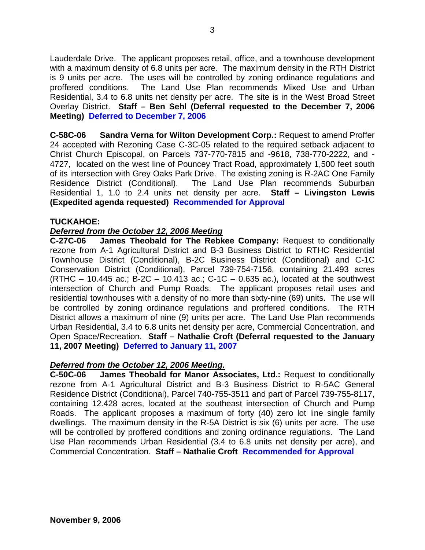Lauderdale Drive. The applicant proposes retail, office, and a townhouse development with a maximum density of 6.8 units per acre. The maximum density in the RTH District is 9 units per acre. The uses will be controlled by zoning ordinance regulations and proffered conditions. The Land Use Plan recommends Mixed Use and Urban Residential, 3.4 to 6.8 units net density per acre. The site is in the West Broad Street Overlay District. **Staff – Ben Sehl (Deferral requested to the December 7, 2006 Meeting) Deferred to December 7, 2006** 

**C-58C-06 Sandra Verna for Wilton Development Corp.:** Request to amend Proffer 24 accepted with Rezoning Case C-3C-05 related to the required setback adjacent to Christ Church Episcopal, on Parcels 737-770-7815 and -9618, 738-770-2222, and - 4727, located on the west line of Pouncey Tract Road, approximately 1,500 feet south of its intersection with Grey Oaks Park Drive. The existing zoning is R-2AC One Family Residence District (Conditional). The Land Use Plan recommends Suburban Residential 1, 1.0 to 2.4 units net density per acre. **Staff – Livingston Lewis (Expedited agenda requested) Recommended for Approval** 

### **TUCKAHOE:**

### *Deferred from the October 12, 2006 Meeting*

**C-27C-06 James Theobald for The Rebkee Company:** Request to conditionally rezone from A-1 Agricultural District and B-3 Business District to RTHC Residential Townhouse District (Conditional), B-2C Business District (Conditional) and C-1C Conservation District (Conditional), Parcel 739-754-7156, containing 21.493 acres  $(RTHC - 10.445$  ac.; B-2C – 10.413 ac.; C-1C – 0.635 ac.), located at the southwest intersection of Church and Pump Roads. The applicant proposes retail uses and residential townhouses with a density of no more than sixty-nine (69) units. The use will be controlled by zoning ordinance regulations and proffered conditions. The RTH District allows a maximum of nine (9) units per acre. The Land Use Plan recommends Urban Residential, 3.4 to 6.8 units net density per acre, Commercial Concentration, and Open Space/Recreation. **Staff – Nathalie Croft (Deferral requested to the January 11, 2007 Meeting) Deferred to January 11, 2007**

#### *Deferred from the October 12, 2006 Meeting.*

**C-50C-06 James Theobald for Manor Associates, Ltd.:** Request to conditionally rezone from A-1 Agricultural District and B-3 Business District to R-5AC General Residence District (Conditional), Parcel 740-755-3511 and part of Parcel 739-755-8117, containing 12.428 acres, located at the southeast intersection of Church and Pump Roads. The applicant proposes a maximum of forty (40) zero lot line single family dwellings. The maximum density in the R-5A District is six (6) units per acre. The use will be controlled by proffered conditions and zoning ordinance regulations. The Land Use Plan recommends Urban Residential (3.4 to 6.8 units net density per acre), and Commercial Concentration. **Staff – Nathalie Croft Recommended for Approval**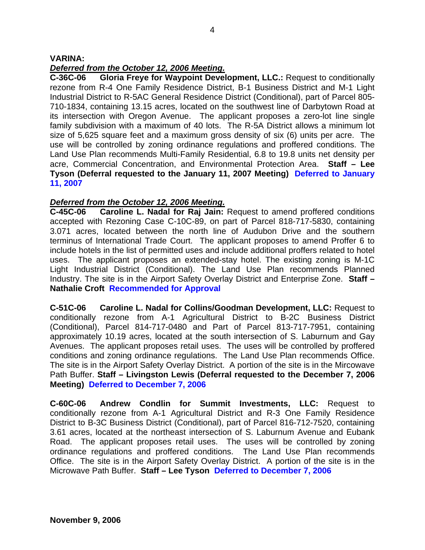### **VARINA:**

# *Deferred from the October 12, 2006 Meeting.*

**C-36C-06 Gloria Freye for Waypoint Development, LLC.:** Request to conditionally rezone from R-4 One Family Residence District, B-1 Business District and M-1 Light Industrial District to R-5AC General Residence District (Conditional), part of Parcel 805- 710-1834, containing 13.15 acres, located on the southwest line of Darbytown Road at its intersection with Oregon Avenue. The applicant proposes a zero-lot line single family subdivision with a maximum of 40 lots. The R-5A District allows a minimum lot size of 5,625 square feet and a maximum gross density of six (6) units per acre. The use will be controlled by zoning ordinance regulations and proffered conditions. The Land Use Plan recommends Multi-Family Residential, 6.8 to 19.8 units net density per acre, Commercial Concentration, and Environmental Protection Area. **Staff – Lee Tyson (Deferral requested to the January 11, 2007 Meeting) Deferred to January 11, 2007** 

# *Deferred from the October 12, 2006 Meeting.*

**C-45C-06 Caroline L. Nadal for Raj Jain:** Request to amend proffered conditions accepted with Rezoning Case C-10C-89, on part of Parcel 818-717-5830, containing 3.071 acres, located between the north line of Audubon Drive and the southern terminus of International Trade Court. The applicant proposes to amend Proffer 6 to include hotels in the list of permitted uses and include additional proffers related to hotel uses. The applicant proposes an extended-stay hotel. The existing zoning is M-1C Light Industrial District (Conditional). The Land Use Plan recommends Planned Industry. The site is in the Airport Safety Overlay District and Enterprise Zone. **Staff – Nathalie Croft Recommended for Approval**

**C-51C-06 Caroline L. Nadal for Collins/Goodman Development, LLC:** Request to conditionally rezone from A-1 Agricultural District to B-2C Business District (Conditional), Parcel 814-717-0480 and Part of Parcel 813-717-7951, containing approximately 10.19 acres, located at the south intersection of S. Laburnum and Gay Avenues. The applicant proposes retail uses. The uses will be controlled by proffered conditions and zoning ordinance regulations. The Land Use Plan recommends Office. The site is in the Airport Safety Overlay District. A portion of the site is in the Mircowave Path Buffer. **Staff – Livingston Lewis (Deferral requested to the December 7, 2006 Meeting) Deferred to December 7, 2006** 

**C-60C-06 Andrew Condlin for Summit Investments, LLC:** Request to conditionally rezone from A-1 Agricultural District and R-3 One Family Residence District to B-3C Business District (Conditional), part of Parcel 816-712-7520, containing 3.61 acres, located at the northeast intersection of S. Laburnum Avenue and Eubank Road. The applicant proposes retail uses. The uses will be controlled by zoning ordinance regulations and proffered conditions. The Land Use Plan recommends Office. The site is in the Airport Safety Overlay District. A portion of the site is in the Microwave Path Buffer. **Staff – Lee Tyson Deferred to December 7, 2006**